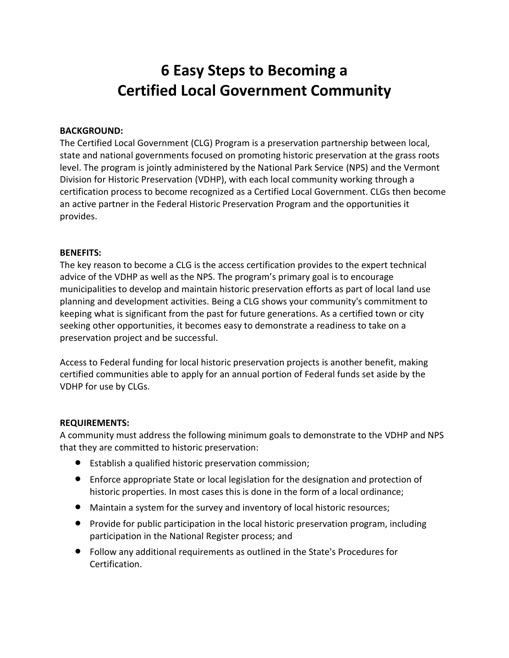## **6 Easy Steps to Becoming a Certified Local Government Community**

#### **BACKGROUND:**

The Certified Local Government (CLG) Program is a preservation partnership between local, state and national governments focused on promoting historic preservation at the grass roots level. The program is jointly administered by the National Park Service (NPS) and the Vermont Division for Historic Preservation (VDHP), with each local community working through a certification process to become recognized as a Certified Local Government. CLGs then become an active partner in the Federal Historic Preservation Program and the opportunities it provides.

#### **BENEFITS:**

The key reason to become a CLG is the access certification provides to the expert technical advice of the VDHP as well as the NPS. The program's primary goal is to encourage municipalities to develop and maintain historic preservation efforts as part of local land use planning and development activities. Being a CLG shows your community's commitment to keeping what is significant from the past for future generations. As a certified town or city seeking other opportunities, it becomes easy to demonstrate a readiness to take on a preservation project and be successful.

Access to Federal funding for local historic preservation projects is another benefit, making certified communities able to apply for an annual portion of Federal funds set aside by the VDHP for use by CLGs.

#### **REQUIREMENTS:**

A community must address the following minimum goals to demonstrate to the VDHP and NPS that they are committed to historic preservation:

- Establish a qualified historic preservation commission;
- Enforce appropriate State or local legislation for the designation and protection of historic properties. In most cases this is done in the form of a local ordinance;
- Maintain a system for the survey and inventory of local historic resources;
- **•** Provide for public participation in the local historic preservation program, including participation in the National Register process; and
- Follow any additional requirements as outlined in the State's Procedures for Certification.